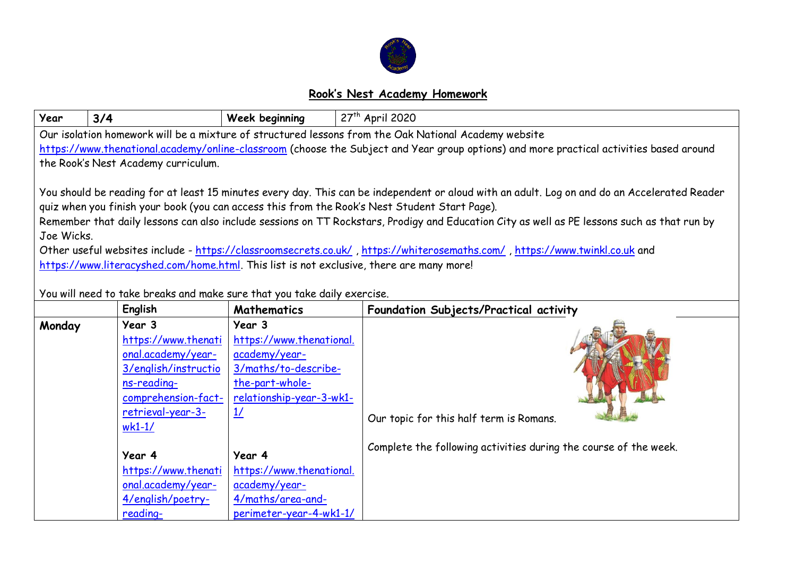

## **Rook's Nest Academy Homework**

| Year       | 3/4                                                                                                                                                | Week beginning                                                                                                                              | 27 <sup>th</sup> April 2020                                                                                                                                                                                                                                                                                                                                                                                                                                                                                                |
|------------|----------------------------------------------------------------------------------------------------------------------------------------------------|---------------------------------------------------------------------------------------------------------------------------------------------|----------------------------------------------------------------------------------------------------------------------------------------------------------------------------------------------------------------------------------------------------------------------------------------------------------------------------------------------------------------------------------------------------------------------------------------------------------------------------------------------------------------------------|
|            |                                                                                                                                                    |                                                                                                                                             | Our isolation homework will be a mixture of structured lessons from the Oak National Academy website                                                                                                                                                                                                                                                                                                                                                                                                                       |
|            |                                                                                                                                                    |                                                                                                                                             | https://www.thenational.academy/online-classroom (choose the Subject and Year group options) and more practical activities based around                                                                                                                                                                                                                                                                                                                                                                                    |
|            | the Rook's Nest Academy curriculum.                                                                                                                |                                                                                                                                             |                                                                                                                                                                                                                                                                                                                                                                                                                                                                                                                            |
| Joe Wicks. | https://www.literacyshed.com/home.html. This list is not exclusive, there are many more!                                                           |                                                                                                                                             | You should be reading for at least 15 minutes every day. This can be independent or aloud with an adult. Log on and do an Accelerated Reader<br>quiz when you finish your book (you can access this from the Rook's Nest Student Start Page).<br>Remember that daily lessons can also include sessions on TT Rockstars, Prodigy and Education City as well as PE lessons such as that run by<br>Other useful websites include - https://classroomsecrets.co.uk/, https://whiterosemaths.com/, https://www.twinkl.co.uk and |
|            | You will need to take breaks and make sure that you take daily exercise.                                                                           |                                                                                                                                             |                                                                                                                                                                                                                                                                                                                                                                                                                                                                                                                            |
|            | English                                                                                                                                            | <b>Mathematics</b>                                                                                                                          | Foundation Subjects/Practical activity                                                                                                                                                                                                                                                                                                                                                                                                                                                                                     |
| Monday     | Year 3<br>https://www.thenati<br>onal.academy/year-<br>3/english/instructio<br>ns-reading-<br>comprehension-fact-<br>retrieval-year-3-<br>$wk1-1/$ | Year 3<br>https://www.thenational.<br>academy/year-<br>3/maths/to-describe-<br>the-part-whole-<br>relationship-year-3-wk1-<br>$\frac{1}{2}$ | Our topic for this half term is Romans.                                                                                                                                                                                                                                                                                                                                                                                                                                                                                    |
|            | Year 4                                                                                                                                             | Year 4                                                                                                                                      | Complete the following activities during the course of the week.                                                                                                                                                                                                                                                                                                                                                                                                                                                           |
|            | https://www.thenati                                                                                                                                | https://www.thenational.                                                                                                                    |                                                                                                                                                                                                                                                                                                                                                                                                                                                                                                                            |
|            | onal.academy/year-                                                                                                                                 | academy/year-                                                                                                                               |                                                                                                                                                                                                                                                                                                                                                                                                                                                                                                                            |
|            | 4/english/poetry-                                                                                                                                  | 4/maths/area-and-                                                                                                                           |                                                                                                                                                                                                                                                                                                                                                                                                                                                                                                                            |
|            | reading-                                                                                                                                           | perimeter-year-4-wk1-1/                                                                                                                     |                                                                                                                                                                                                                                                                                                                                                                                                                                                                                                                            |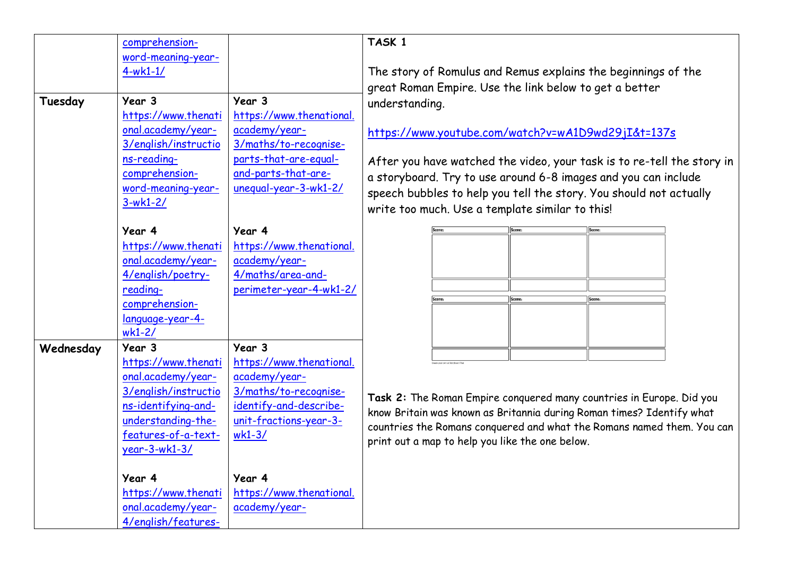| Tuesday   | comprehension-<br>word-meaning-year-<br>$4-wk1-1/$<br>Year 3<br>https://www.thenati<br>onal.academy/year-<br>3/english/instructio<br>ns-reading-<br>comprehension-<br>word-meaning-year-<br>$3-wk1-2/$ | Year 3<br>https://www.thenational.<br>academy/year-<br>3/maths/to-recognise-<br>parts-that-are-equal-<br>and-parts-that-are-<br>unequal-year-3-wk1-2/ | $\mathsf{T}$<br>T<br>9<br>ū<br><u>h</u><br>A<br>$\alpha$<br>S<br>W |
|-----------|--------------------------------------------------------------------------------------------------------------------------------------------------------------------------------------------------------|-------------------------------------------------------------------------------------------------------------------------------------------------------|--------------------------------------------------------------------|
|           | Year 4<br>https://www.thenati<br>onal.academy/year-<br>4/english/poetry-<br>reading-<br>comprehension-<br>language-year-4-<br>$wk1-2/$                                                                 | Year 4<br>https://www.thenational.<br>academy/year-<br>4/maths/area-and-<br>perimeter-year-4-wk1-2/                                                   |                                                                    |
| Wednesday | Year 3<br>https://www.thenati<br>onal.academy/year-<br>3/english/instructio<br>ns-identifying-and-<br>understanding-the-<br>features-of-a-text-<br>$year-3-wk1-3/$                                     | Year 3<br>https://www.thenational.<br>academy/year-<br>3/maths/to-recognise-<br>identify-and-describe-<br>unit-fractions-year-3-<br>$wk1-3/$          | Т<br>$\mathsf{k}$<br>$\mathbf{C}$<br>p                             |
|           | Year 4<br>https://www.thenati<br>onal.academy/year-<br>4/english/features-                                                                                                                             | Year 4<br>https://www.thenational.<br>academy/year-                                                                                                   |                                                                    |

## **TASK 1**

The story of Romulus and Remus explains the beginnings of the great Roman Empire. Use the link below to get a better understanding.

<https://www.youtube.com/watch?v=wA1D9wd29jI&t=137s>

After you have watched the video, your task is to re-tell the story in storyboard. Try to use around 6-8 images and you can include speech bubbles to help you tell the story. You should not actually write too much. Use a template similar to this!

| Scene: | Scene: | Scene: |
|--------|--------|--------|
|        |        |        |
|        |        |        |
|        |        |        |
|        |        |        |
|        |        |        |
|        |        |        |
|        |        |        |
|        |        |        |
| Scene: | Scene: | Scene: |
|        |        |        |
|        |        |        |
|        |        |        |
|        |        |        |
|        |        |        |
|        |        |        |
|        |        |        |

**Task 2:** The Roman Empire conquered many countries in Europe. Did you know Britain was known as Britannia during Roman times? Identify what countries the Romans conquered and what the Romans named them. You can print out a map to help you like the one below.